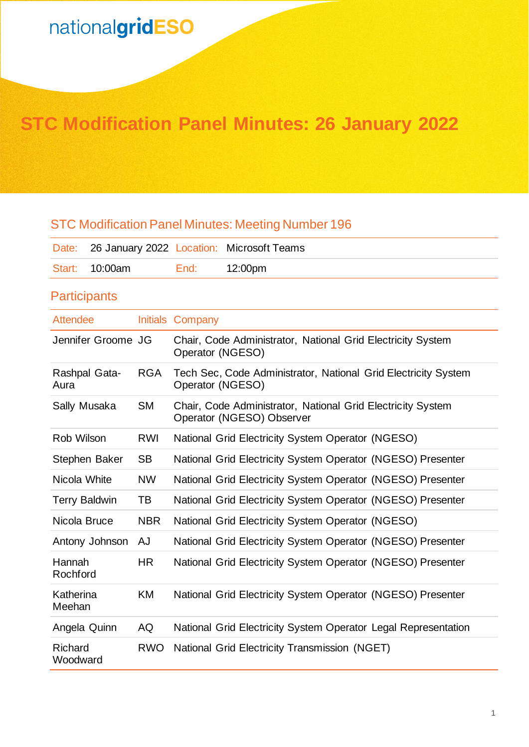## **STC Modification Panel Minutes: 26 January 2022**

### STC Modification Panel Minutes: Meeting Number 196

|                |      | Date: 26 January 2022 Location: Microsoft Teams |
|----------------|------|-------------------------------------------------|
| Start: 10:00am | End: | 12:00pm                                         |

### **Participants**

| <b>Attendee</b>            |            | Initials Company                                                                         |
|----------------------------|------------|------------------------------------------------------------------------------------------|
| Jennifer Groome JG         |            | Chair, Code Administrator, National Grid Electricity System<br>Operator (NGESO)          |
| Rashpal Gata-<br>Aura      | <b>RGA</b> | Tech Sec, Code Administrator, National Grid Electricity System<br>Operator (NGESO)       |
| Sally Musaka               | <b>SM</b>  | Chair, Code Administrator, National Grid Electricity System<br>Operator (NGESO) Observer |
| Rob Wilson                 | <b>RWI</b> | National Grid Electricity System Operator (NGESO)                                        |
| Stephen Baker              | <b>SB</b>  | National Grid Electricity System Operator (NGESO) Presenter                              |
| Nicola White               | <b>NW</b>  | National Grid Electricity System Operator (NGESO) Presenter                              |
| <b>Terry Baldwin</b>       | TB         | National Grid Electricity System Operator (NGESO) Presenter                              |
| Nicola Bruce               | <b>NBR</b> | National Grid Electricity System Operator (NGESO)                                        |
| Antony Johnson             | AJ         | National Grid Electricity System Operator (NGESO) Presenter                              |
| Hannah<br>Rochford         | <b>HR</b>  | National Grid Electricity System Operator (NGESO) Presenter                              |
| Katherina<br>Meehan        | <b>KM</b>  | National Grid Electricity System Operator (NGESO) Presenter                              |
| Angela Quinn               | AQ         | National Grid Electricity System Operator Legal Representation                           |
| <b>Richard</b><br>Woodward | <b>RWO</b> | National Grid Electricity Transmission (NGET)                                            |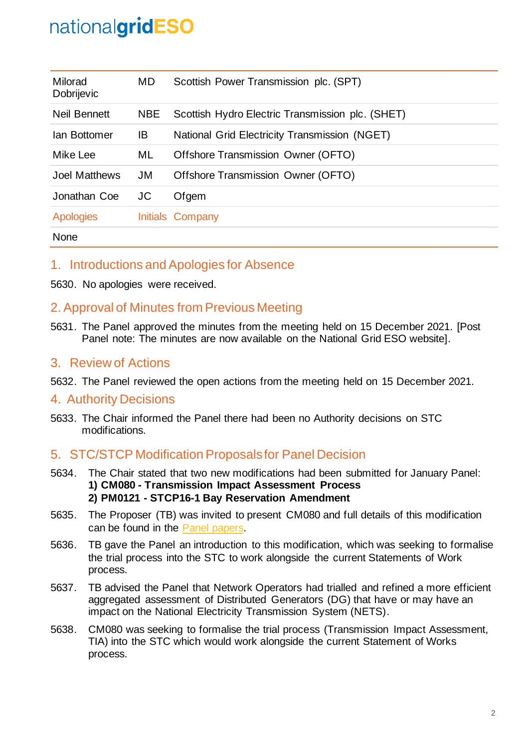| Milorad<br><b>Dobrijevic</b> | MD.        | Scottish Power Transmission plc. (SPT)           |
|------------------------------|------------|--------------------------------------------------|
| Neil Bennett                 | <b>NBE</b> | Scottish Hydro Electric Transmission plc. (SHET) |
| Ian Bottomer                 | IB         | National Grid Electricity Transmission (NGET)    |
| Mike Lee                     | ML.        | Offshore Transmission Owner (OFTO)               |
| Joel Matthews                | JM         | Offshore Transmission Owner (OFTO)               |
| Jonathan Coe                 | JC         | Ofgem                                            |
| <b>Apologies</b>             |            | Initials Company                                 |
| None                         |            |                                                  |

### 1. Introductions and Apologies for Absence

5630. No apologies were received.

### 2. Approval of Minutes from Previous Meeting

5631. The Panel approved the minutes from the meeting held on 15 December 2021. [Post Panel note: The minutes are now available on the National Grid ESO website].

### 3. Review of Actions

5632. The Panel reviewed the open actions from the meeting held on 15 December 2021.

### 4. Authority Decisions

5633. The Chair informed the Panel there had been no Authority decisions on STC modifications.

### 5. STC/STCP Modification Proposalsfor Panel Decision

- 5634. The Chair stated that two new modifications had been submitted for January Panel: **1) CM080 - Transmission Impact Assessment Process 2) PM0121 - STCP16-1 Bay Reservation Amendment**
- 5635. The Proposer (TB) was invited to present CM080 and full details of this modification can be found in the [Panel papers.](https://www.nationalgrideso.com/industry-information/codes/system-operator-transmission-owner-code-stc-old/meetings/stc-panel-35)
- 5636. TB gave the Panel an introduction to this modification, which was seeking to formalise the trial process into the STC to work alongside the current Statements of Work process.
- 5637. TB advised the Panel that Network Operators had trialled and refined a more efficient aggregated assessment of Distributed Generators (DG) that have or may have an impact on the National Electricity Transmission System (NETS).
- 5638. CM080 was seeking to formalise the trial process (Transmission Impact Assessment, TIA) into the STC which would work alongside the current Statement of Works process.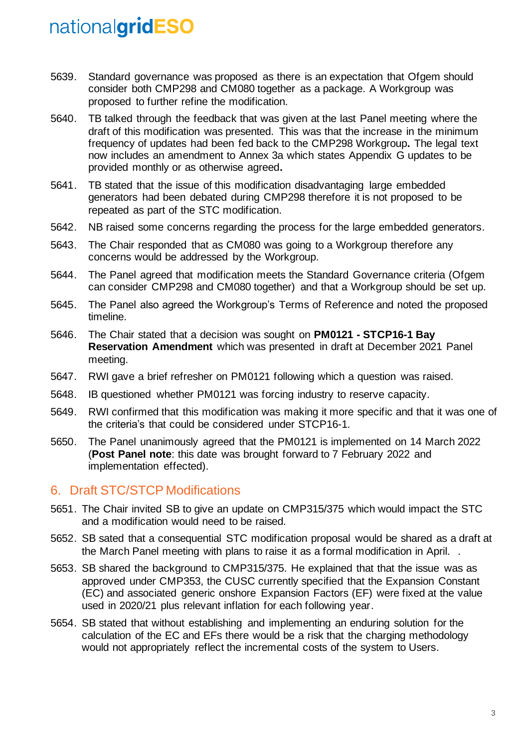- 5639. Standard governance was proposed as there is an expectation that Ofgem should consider both CMP298 and CM080 together as a package. A Workgroup was proposed to further refine the modification.
- 5640. TB talked through the feedback that was given at the last Panel meeting where the draft of this modification was presented. This was that the increase in the minimum frequency of updates had been fed back to the CMP298 Workgroup**.** The legal text now includes an amendment to Annex 3a which states Appendix G updates to be provided monthly or as otherwise agreed**.**
- 5641. TB stated that the issue of this modification disadvantaging large embedded generators had been debated during CMP298 therefore it is not proposed to be repeated as part of the STC modification.
- 5642. NB raised some concerns regarding the process for the large embedded generators.
- 5643. The Chair responded that as CM080 was going to a Workgroup therefore any concerns would be addressed by the Workgroup.
- 5644. The Panel agreed that modification meets the Standard Governance criteria (Ofgem can consider CMP298 and CM080 together) and that a Workgroup should be set up.
- 5645. The Panel also agreed the Workgroup's Terms of Reference and noted the proposed timeline.
- 5646. The Chair stated that a decision was sought on **PM0121 - STCP16-1 Bay Reservation Amendment** which was presented in draft at December 2021 Panel meeting.
- 5647. RWI gave a brief refresher on PM0121 following which a question was raised.
- 5648. IB questioned whether PM0121 was forcing industry to reserve capacity.
- 5649. RWI confirmed that this modification was making it more specific and that it was one of the criteria's that could be considered under STCP16-1.
- 5650. The Panel unanimously agreed that the PM0121 is implemented on 14 March 2022 (**Post Panel note**: this date was brought forward to 7 February 2022 and implementation effected).

### 6. Draft STC/STCP Modifications

- 5651. The Chair invited SB to give an update on CMP315/375 which would impact the STC and a modification would need to be raised.
- 5652. SB sated that a consequential STC modification proposal would be shared as a draft at the March Panel meeting with plans to raise it as a formal modification in April. .
- 5653. SB shared the background to CMP315/375. He explained that that the issue was as approved under CMP353, the CUSC currently specified that the Expansion Constant (EC) and associated generic onshore Expansion Factors (EF) were fixed at the value used in 2020/21 plus relevant inflation for each following year.
- 5654. SB stated that without establishing and implementing an enduring solution for the calculation of the EC and EFs there would be a risk that the charging methodology would not appropriately reflect the incremental costs of the system to Users.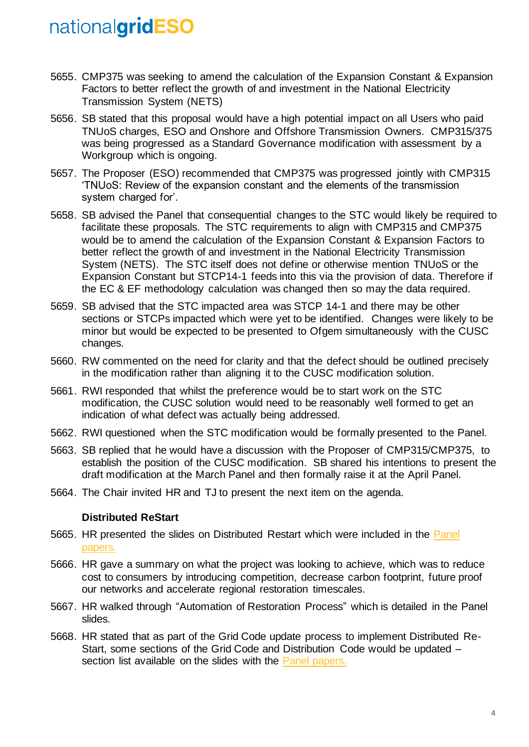- 5655. CMP375 was seeking to amend the calculation of the Expansion Constant & Expansion Factors to better reflect the growth of and investment in the National Electricity Transmission System (NETS)
- 5656. SB stated that this proposal would have a high potential impact on all Users who paid TNUoS charges, ESO and Onshore and Offshore Transmission Owners. CMP315/375 was being progressed as a Standard Governance modification with assessment by a Workgroup which is ongoing.
- 5657. The Proposer (ESO) recommended that CMP375 was progressed jointly with CMP315 'TNUoS: Review of the expansion constant and the elements of the transmission system charged for'.
- 5658. SB advised the Panel that consequential changes to the STC would likely be required to facilitate these proposals. The STC requirements to align with CMP315 and CMP375 would be to amend the calculation of the Expansion Constant & Expansion Factors to better reflect the growth of and investment in the National Electricity Transmission System (NETS). The STC itself does not define or otherwise mention TNUoS or the Expansion Constant but STCP14-1 feeds into this via the provision of data. Therefore if the EC & EF methodology calculation was changed then so may the data required.
- 5659. SB advised that the STC impacted area was STCP 14-1 and there may be other sections or STCPs impacted which were yet to be identified. Changes were likely to be minor but would be expected to be presented to Ofgem simultaneously with the CUSC changes.
- 5660. RW commented on the need for clarity and that the defect should be outlined precisely in the modification rather than aligning it to the CUSC modification solution.
- 5661. RWI responded that whilst the preference would be to start work on the STC modification, the CUSC solution would need to be reasonably well formed to get an indication of what defect was actually being addressed.
- 5662. RWI questioned when the STC modification would be formally presented to the Panel.
- 5663. SB replied that he would have a discussion with the Proposer of CMP315/CMP375, to establish the position of the CUSC modification. SB shared his intentions to present the draft modification at the March Panel and then formally raise it at the April Panel.
- 5664. The Chair invited HR and TJ to present the next item on the agenda.

#### **Distributed ReStart**

- 5665. HR presented the slides on Distributed Restart which were included in the [Panel](https://www.nationalgrideso.com/industry-information/codes/system-operator-transmission-owner-code-stc-old/meetings/stc-panel-35)  [papers.](https://www.nationalgrideso.com/industry-information/codes/system-operator-transmission-owner-code-stc-old/meetings/stc-panel-35)
- 5666. HR gave a summary on what the project was looking to achieve, which was to reduce cost to consumers by introducing competition, decrease carbon footprint, future proof our networks and accelerate regional restoration timescales.
- 5667. HR walked through "Automation of Restoration Process" which is detailed in the Panel slides.
- 5668. HR stated that as part of the Grid Code update process to implement Distributed Re-Start, some sections of the Grid Code and Distribution Code would be updated – section list available on the slides with the [Panel papers.](https://www.nationalgrideso.com/industry-information/codes/system-operator-transmission-owner-code-stc-old/meetings/stc-panel-35)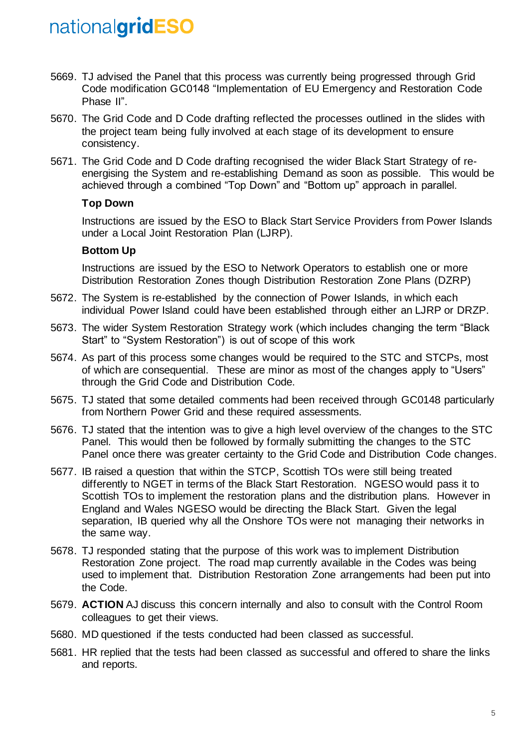- 5669. TJ advised the Panel that this process was currently being progressed through Grid Code modification GC0148 "Implementation of EU Emergency and Restoration Code Phase II".
- 5670. The Grid Code and D Code drafting reflected the processes outlined in the slides with the project team being fully involved at each stage of its development to ensure consistency.
- 5671. The Grid Code and D Code drafting recognised the wider Black Start Strategy of reenergising the System and re-establishing Demand as soon as possible. This would be achieved through a combined "Top Down" and "Bottom up" approach in parallel.

#### **Top Down**

Instructions are issued by the ESO to Black Start Service Providers from Power Islands under a Local Joint Restoration Plan (LJRP).

#### **Bottom Up**

Instructions are issued by the ESO to Network Operators to establish one or more Distribution Restoration Zones though Distribution Restoration Zone Plans (DZRP)

- 5672. The System is re-established by the connection of Power Islands, in which each individual Power Island could have been established through either an LJRP or DRZP.
- 5673. The wider System Restoration Strategy work (which includes changing the term "Black Start" to "System Restoration") is out of scope of this work
- 5674. As part of this process some changes would be required to the STC and STCPs, most of which are consequential. These are minor as most of the changes apply to "Users" through the Grid Code and Distribution Code.
- 5675. TJ stated that some detailed comments had been received through GC0148 particularly from Northern Power Grid and these required assessments.
- 5676. TJ stated that the intention was to give a high level overview of the changes to the STC Panel. This would then be followed by formally submitting the changes to the STC Panel once there was greater certainty to the Grid Code and Distribution Code changes.
- 5677. IB raised a question that within the STCP, Scottish TOs were still being treated differently to NGET in terms of the Black Start Restoration. NGESO would pass it to Scottish TOs to implement the restoration plans and the distribution plans. However in England and Wales NGESO would be directing the Black Start. Given the legal separation, IB queried why all the Onshore TOs were not managing their networks in the same way.
- 5678. TJ responded stating that the purpose of this work was to implement Distribution Restoration Zone project. The road map currently available in the Codes was being used to implement that. Distribution Restoration Zone arrangements had been put into the Code.
- 5679. **ACTION** AJ discuss this concern internally and also to consult with the Control Room colleagues to get their views.
- 5680. MD questioned if the tests conducted had been classed as successful.
- 5681. HR replied that the tests had been classed as successful and offered to share the links and reports.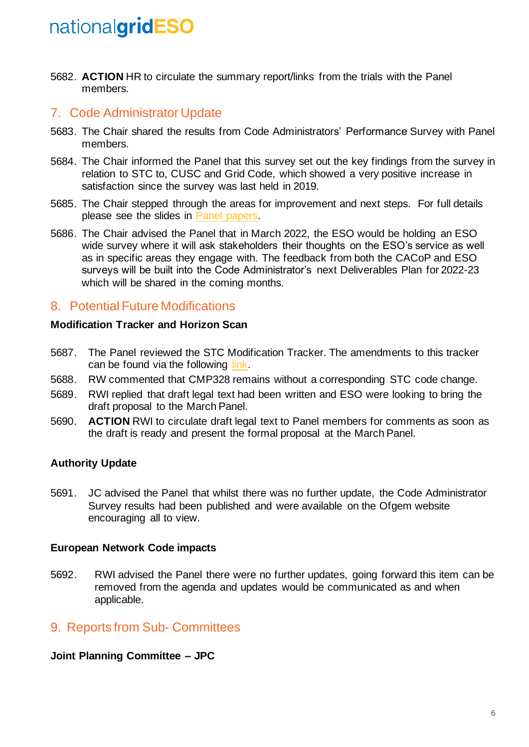5682. **ACTION** HR to circulate the summary report/links from the trials with the Panel members.

### 7. Code Administrator Update

- 5683. The Chair shared the results from Code Administrators' Performance Survey with Panel members.
- 5684. The Chair informed the Panel that this survey set out the key findings from the survey in relation to STC to, CUSC and Grid Code, which showed a very positive increase in satisfaction since the survey was last held in 2019.
- 5685. The Chair stepped through the areas for improvement and next steps. For full details please see the slides in [Panel papers.](https://www.nationalgrideso.com/industry-information/codes/system-operator-transmission-owner-code-stc-old/meetings/stc-panel-35)
- 5686. The Chair advised the Panel that in March 2022, the ESO would be holding an ESO wide survey where it will ask stakeholders their thoughts on the ESO's service as well as in specific areas they engage with. The feedback from both the CACoP and ESO surveys will be built into the Code Administrator's next Deliverables Plan for 2022-23 which will be shared in the coming months.

### 8. Potential Future Modifications

#### **Modification Tracker and Horizon Scan**

- 5687. The Panel reviewed the STC Modification Tracker. The amendments to this tracker can be found via the following [link.](https://www.nationalgrideso.com/industry-information/codes/system-operator-transmission-owner-code-stc-old/meetings/stc-panel-35)
- 5688. RW commented that CMP328 remains without a corresponding STC code change.
- 5689. RWI replied that draft legal text had been written and ESO were looking to bring the draft proposal to the March Panel.
- 5690. **ACTION** RWI to circulate draft legal text to Panel members for comments as soon as the draft is ready and present the formal proposal at the March Panel.

#### **Authority Update**

5691. JC advised the Panel that whilst there was no further update, the Code Administrator Survey results had been published and were available on the Ofgem website encouraging all to view.

#### **European Network Code impacts**

5692. RWI advised the Panel there were no further updates, going forward this item can be removed from the agenda and updates would be communicated as and when applicable.

### 9. Reports from Sub- Committees

#### **Joint Planning Committee – JPC**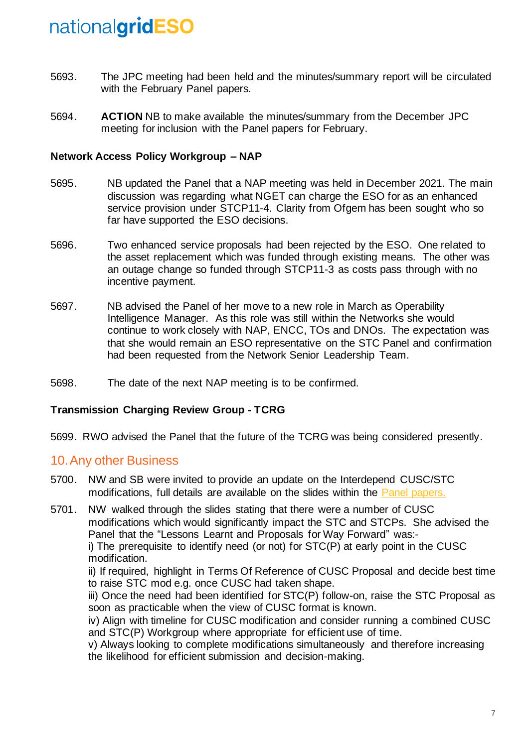- 5693. The JPC meeting had been held and the minutes/summary report will be circulated with the February Panel papers.
- 5694. **ACTION** NB to make available the minutes/summary from the December JPC meeting for inclusion with the Panel papers for February.

#### **Network Access Policy Workgroup – NAP**

- 5695. NB updated the Panel that a NAP meeting was held in December 2021. The main discussion was regarding what NGET can charge the ESO for as an enhanced service provision under STCP11-4. Clarity from Ofgem has been sought who so far have supported the ESO decisions.
- 5696. Two enhanced service proposals had been rejected by the ESO. One related to the asset replacement which was funded through existing means. The other was an outage change so funded through STCP11-3 as costs pass through with no incentive payment.
- 5697. NB advised the Panel of her move to a new role in March as Operability Intelligence Manager. As this role was still within the Networks she would continue to work closely with NAP, ENCC, TOs and DNOs. The expectation was that she would remain an ESO representative on the STC Panel and confirmation had been requested from the Network Senior Leadership Team.
- 5698. The date of the next NAP meeting is to be confirmed.

#### **Transmission Charging Review Group - TCRG**

5699. RWO advised the Panel that the future of the TCRG was being considered presently.

#### 10.Any other Business

- 5700. NW and SB were invited to provide an update on the Interdepend CUSC/STC modifications, full details are available on the slides within the [Panel papers.](https://www.nationalgrideso.com/industry-information/codes/system-operator-transmission-owner-code-stc-old/meetings/stc-panel-35)
- 5701. NW walked through the slides stating that there were a number of CUSC modifications which would significantly impact the STC and STCPs. She advised the Panel that the "Lessons Learnt and Proposals for Way Forward" was: i) The prerequisite to identify need (or not) for STC(P) at early point in the CUSC modification.

ii) If required, highlight in Terms Of Reference of CUSC Proposal and decide best time to raise STC mod e.g. once CUSC had taken shape.

iii) Once the need had been identified for STC(P) follow-on, raise the STC Proposal as soon as practicable when the view of CUSC format is known.

iv) Align with timeline for CUSC modification and consider running a combined CUSC and STC(P) Workgroup where appropriate for efficient use of time.

v) Always looking to complete modifications simultaneously and therefore increasing the likelihood for efficient submission and decision-making.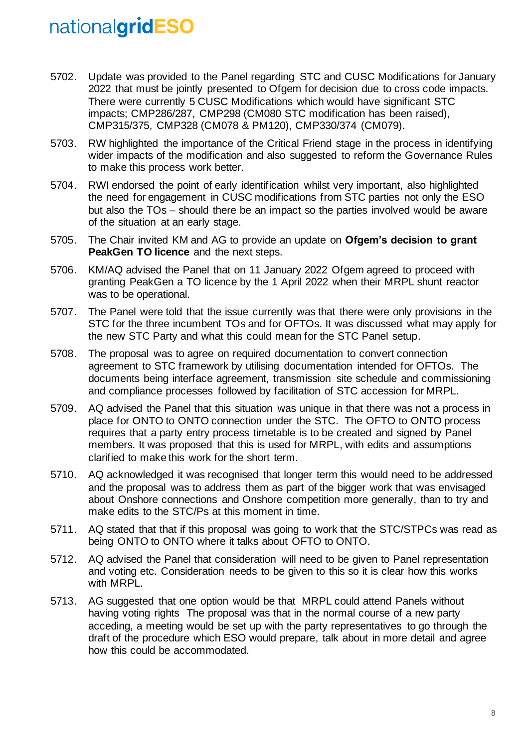- 5702. Update was provided to the Panel regarding STC and CUSC Modifications for January 2022 that must be jointly presented to Ofgem for decision due to cross code impacts. There were currently 5 CUSC Modifications which would have significant STC impacts; CMP286/287, CMP298 (CM080 STC modification has been raised), CMP315/375, CMP328 (CM078 & PM120), CMP330/374 (CM079).
- 5703. RW highlighted the importance of the Critical Friend stage in the process in identifying wider impacts of the modification and also suggested to reform the Governance Rules to make this process work better.
- 5704. RWI endorsed the point of early identification whilst very important, also highlighted the need for engagement in CUSC modifications from STC parties not only the ESO but also the TOs – should there be an impact so the parties involved would be aware of the situation at an early stage.
- 5705. The Chair invited KM and AG to provide an update on **Ofgem's decision to grant PeakGen TO licence** and the next steps.
- 5706. KM/AQ advised the Panel that on 11 January 2022 Ofgem agreed to proceed with granting PeakGen a TO licence by the 1 April 2022 when their MRPL shunt reactor was to be operational.
- 5707. The Panel were told that the issue currently was that there were only provisions in the STC for the three incumbent TOs and for OFTOs. It was discussed what may apply for the new STC Party and what this could mean for the STC Panel setup.
- 5708. The proposal was to agree on required documentation to convert connection agreement to STC framework by utilising documentation intended for OFTOs. The documents being interface agreement, transmission site schedule and commissioning and compliance processes followed by facilitation of STC accession for MRPL.
- 5709. AQ advised the Panel that this situation was unique in that there was not a process in place for ONTO to ONTO connection under the STC. The OFTO to ONTO process requires that a party entry process timetable is to be created and signed by Panel members. It was proposed that this is used for MRPL, with edits and assumptions clarified to make this work for the short term.
- 5710. AQ acknowledged it was recognised that longer term this would need to be addressed and the proposal was to address them as part of the bigger work that was envisaged about Onshore connections and Onshore competition more generally, than to try and make edits to the STC/Ps at this moment in time.
- 5711. AQ stated that that if this proposal was going to work that the STC/STPCs was read as being ONTO to ONTO where it talks about OFTO to ONTO.
- 5712. AQ advised the Panel that consideration will need to be given to Panel representation and voting etc. Consideration needs to be given to this so it is clear how this works with MRPL.
- 5713. AG suggested that one option would be that MRPL could attend Panels without having voting rights The proposal was that in the normal course of a new party acceding, a meeting would be set up with the party representatives to go through the draft of the procedure which ESO would prepare, talk about in more detail and agree how this could be accommodated.